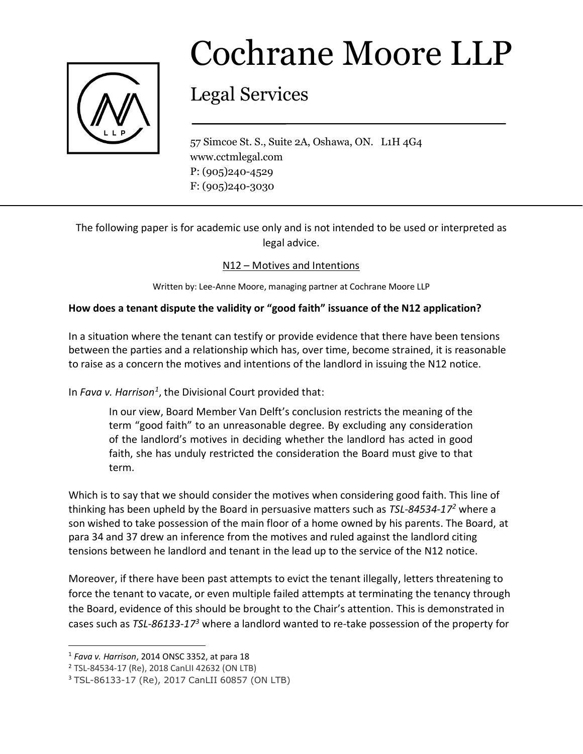

## Cochrane Moore LLP

## Legal Services

57 Simcoe St. S., Suite 2A, Oshawa, ON. L1H 4G4 www.cctmlegal.com P: (905)240-4529 F: (905)240-3030

The following paper is for academic use only and is not intended to be used or interpreted as legal advice.

## N12 – Motives and Intentions

Written by: Lee-Anne Moore, managing partner at Cochrane Moore LLP

## **How does a tenant dispute the validity or "good faith" issuance of the N12 application?**

In a situation where the tenant can testify or provide evidence that there have been tensions between the parties and a relationship which has, over time, become strained, it is reasonable to raise as a concern the motives and intentions of the landlord in issuing the N12 notice.

In *Fava v. Harrison<sup>1</sup>*, the Divisional Court provided that:

In our view, Board Member Van Delft's conclusion restricts the meaning of the term "good faith" to an unreasonable degree. By excluding any consideration of the landlord's motives in deciding whether the landlord has acted in good faith, she has unduly restricted the consideration the Board must give to that term.

Which is to say that we should consider the motives when considering good faith. This line of thinking has been upheld by the Board in persuasive matters such as *TSL-84534-17<sup>2</sup>* where a son wished to take possession of the main floor of a home owned by his parents. The Board, at para 34 and 37 drew an inference from the motives and ruled against the landlord citing tensions between he landlord and tenant in the lead up to the service of the N12 notice.

Moreover, if there have been past attempts to evict the tenant illegally, letters threatening to force the tenant to vacate, or even multiple failed attempts at terminating the tenancy through the Board, evidence of this should be brought to the Chair's attention. This is demonstrated in cases such as *TSL-86133-17<sup>3</sup>* where a landlord wanted to re-take possession of the property for

 $\overline{a}$ 

<sup>1</sup> *Fava v. Harrison*, 2014 ONSC 3352, at para 18

<sup>2</sup> TSL-84534-17 (Re), 2018 CanLII 42632 (ON LTB)

<sup>3</sup> TSL-86133-17 (Re), 2017 CanLII 60857 (ON LTB)